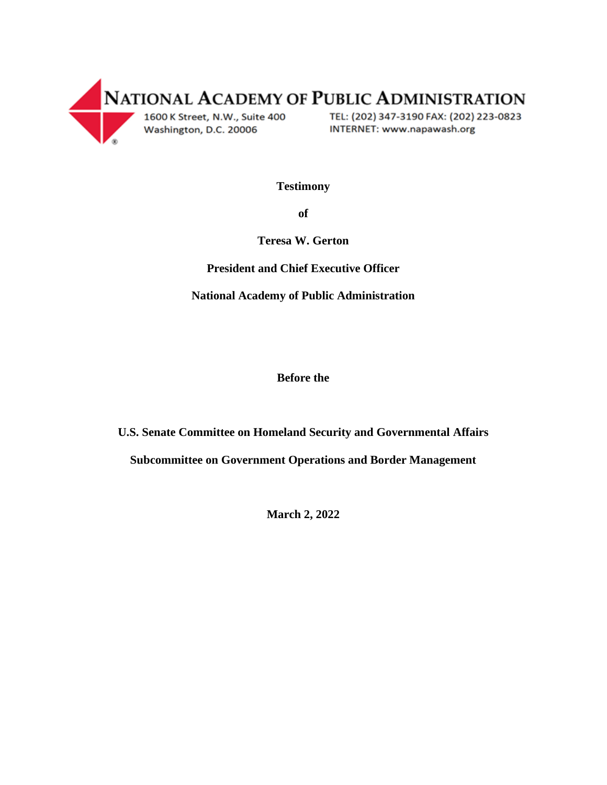

**Testimony** 

**of**

**Teresa W. Gerton**

**President and Chief Executive Officer**

**National Academy of Public Administration**

**Before the**

**U.S. Senate Committee on Homeland Security and Governmental Affairs**

**Subcommittee on Government Operations and Border Management**

**March 2, 2022**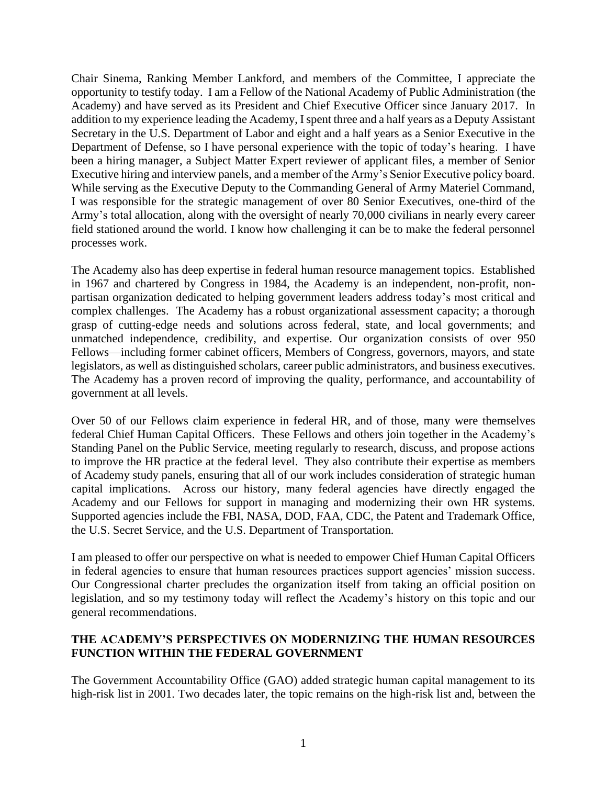Chair Sinema, Ranking Member Lankford, and members of the Committee, I appreciate the opportunity to testify today. I am a Fellow of the National Academy of Public Administration (the Academy) and have served as its President and Chief Executive Officer since January 2017. In addition to my experience leading the Academy, I spent three and a half years as a Deputy Assistant Secretary in the U.S. Department of Labor and eight and a half years as a Senior Executive in the Department of Defense, so I have personal experience with the topic of today's hearing. I have been a hiring manager, a Subject Matter Expert reviewer of applicant files, a member of Senior Executive hiring and interview panels, and a member of the Army's Senior Executive policy board. While serving as the Executive Deputy to the Commanding General of Army Materiel Command, I was responsible for the strategic management of over 80 Senior Executives, one-third of the Army's total allocation, along with the oversight of nearly 70,000 civilians in nearly every career field stationed around the world. I know how challenging it can be to make the federal personnel processes work.

The Academy also has deep expertise in federal human resource management topics. Established in 1967 and chartered by Congress in 1984, the Academy is an independent, non-profit, nonpartisan organization dedicated to helping government leaders address today's most critical and complex challenges. The Academy has a robust organizational assessment capacity; a thorough grasp of cutting-edge needs and solutions across federal, state, and local governments; and unmatched independence, credibility, and expertise. Our organization consists of over 950 Fellows—including former cabinet officers, Members of Congress, governors, mayors, and state legislators, as well as distinguished scholars, career public administrators, and business executives. The Academy has a proven record of improving the quality, performance, and accountability of government at all levels.

Over 50 of our Fellows claim experience in federal HR, and of those, many were themselves federal Chief Human Capital Officers. These Fellows and others join together in the Academy's Standing Panel on the Public Service, meeting regularly to research, discuss, and propose actions to improve the HR practice at the federal level. They also contribute their expertise as members of Academy study panels, ensuring that all of our work includes consideration of strategic human capital implications. Across our history, many federal agencies have directly engaged the Academy and our Fellows for support in managing and modernizing their own HR systems. Supported agencies include the FBI, NASA, DOD, FAA, CDC, the Patent and Trademark Office, the U.S. Secret Service, and the U.S. Department of Transportation.

I am pleased to offer our perspective on what is needed to empower Chief Human Capital Officers in federal agencies to ensure that human resources practices support agencies' mission success. Our Congressional charter precludes the organization itself from taking an official position on legislation, and so my testimony today will reflect the Academy's history on this topic and our general recommendations.

# **THE ACADEMY'S PERSPECTIVES ON MODERNIZING THE HUMAN RESOURCES FUNCTION WITHIN THE FEDERAL GOVERNMENT**

The Government Accountability Office (GAO) added strategic human capital management to its high-risk list in 2001. Two decades later, the topic remains on the high-risk list and, between the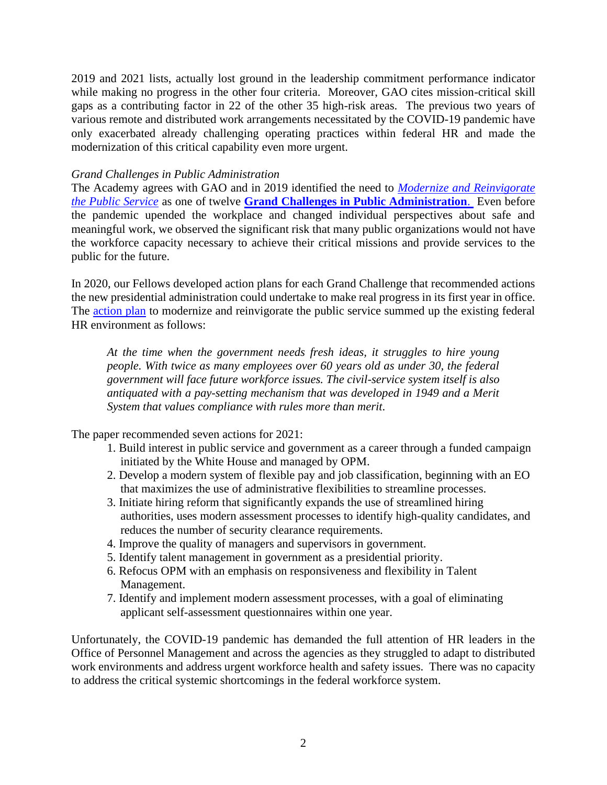2019 and 2021 lists, actually lost ground in the leadership commitment performance indicator while making no progress in the other four criteria. Moreover, GAO cites mission-critical skill gaps as a contributing factor in 22 of the other 35 high-risk areas. The previous two years of various remote and distributed work arrangements necessitated by the COVID-19 pandemic have only exacerbated already challenging operating practices within federal HR and made the modernization of this critical capability even more urgent.

### *Grand Challenges in Public Administration*

The Academy agrees with GAO and in 2019 identified the need to *[Modernize and Reinvigorate](https://napawash.org/grand-challenges/modernize-and-reinvigorate-the-public-service)  [the Public Service](https://napawash.org/grand-challenges/modernize-and-reinvigorate-the-public-service)* as one of twelve **[Grand Challenges in Public Administration](https://napawash.org/grand-challenges/the-12-grand-challenges)**. Even before the pandemic upended the workplace and changed individual perspectives about safe and meaningful work, we observed the significant risk that many public organizations would not have the workforce capacity necessary to achieve their critical missions and provide services to the public for the future.

In 2020, our Fellows developed action plans for each Grand Challenge that recommended actions the new presidential administration could undertake to make real progress in its first year in office. The [action plan](https://napawash.org/uploads/Election_2020_Modernize_and_Reinvigorate_the_Public_Service.pdf) to modernize and reinvigorate the public service summed up the existing federal HR environment as follows:

*At the time when the government needs fresh ideas, it struggles to hire young people. With twice as many employees over 60 years old as under 30, the federal government will face future workforce issues. The civil-service system itself is also antiquated with a pay-setting mechanism that was developed in 1949 and a Merit System that values compliance with rules more than merit.*

The paper recommended seven actions for 2021:

- 1. Build interest in public service and government as a career through a funded campaign initiated by the White House and managed by OPM.
- 2. Develop a modern system of flexible pay and job classification, beginning with an EO that maximizes the use of administrative flexibilities to streamline processes.
- 3. Initiate hiring reform that significantly expands the use of streamlined hiring authorities, uses modern assessment processes to identify high-quality candidates, and reduces the number of security clearance requirements.
- 4. Improve the quality of managers and supervisors in government.
- 5. Identify talent management in government as a presidential priority.
- 6. Refocus OPM with an emphasis on responsiveness and flexibility in Talent Management.
- 7. Identify and implement modern assessment processes, with a goal of eliminating applicant self-assessment questionnaires within one year.

Unfortunately, the COVID-19 pandemic has demanded the full attention of HR leaders in the Office of Personnel Management and across the agencies as they struggled to adapt to distributed work environments and address urgent workforce health and safety issues. There was no capacity to address the critical systemic shortcomings in the federal workforce system.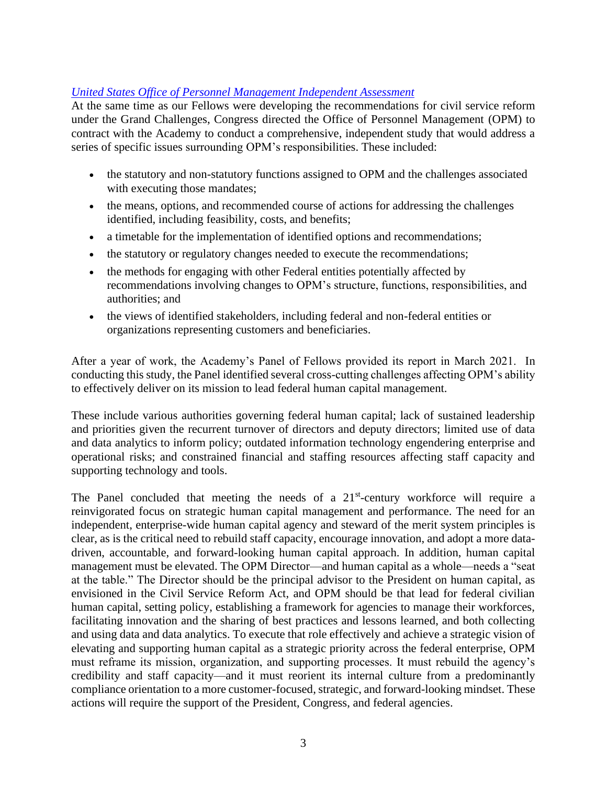# *[United States Office of Personnel Management Independent Assessment](https://napawash.org/academy-studies/united-states-office-of-personnel-management-independent-assessment)*

At the same time as our Fellows were developing the recommendations for civil service reform under the Grand Challenges, Congress directed the Office of Personnel Management (OPM) to contract with the Academy to conduct a comprehensive, independent study that would address a series of specific issues surrounding OPM's responsibilities. These included:

- the statutory and non-statutory functions assigned to OPM and the challenges associated with executing those mandates;
- the means, options, and recommended course of actions for addressing the challenges identified, including feasibility, costs, and benefits;
- a timetable for the implementation of identified options and recommendations;
- the statutory or regulatory changes needed to execute the recommendations;
- the methods for engaging with other Federal entities potentially affected by recommendations involving changes to OPM's structure, functions, responsibilities, and authorities; and
- the views of identified stakeholders, including federal and non-federal entities or organizations representing customers and beneficiaries.

After a year of work, the Academy's Panel of Fellows provided its report in March 2021. In conducting this study, the Panel identified several cross-cutting challenges affecting OPM's ability to effectively deliver on its mission to lead federal human capital management.

These include various authorities governing federal human capital; lack of sustained leadership and priorities given the recurrent turnover of directors and deputy directors; limited use of data and data analytics to inform policy; outdated information technology engendering enterprise and operational risks; and constrained financial and staffing resources affecting staff capacity and supporting technology and tools.

The Panel concluded that meeting the needs of a  $21<sup>st</sup>$ -century workforce will require a reinvigorated focus on strategic human capital management and performance. The need for an independent, enterprise-wide human capital agency and steward of the merit system principles is clear, as is the critical need to rebuild staff capacity, encourage innovation, and adopt a more datadriven, accountable, and forward-looking human capital approach. In addition, human capital management must be elevated. The OPM Director—and human capital as a whole—needs a "seat at the table." The Director should be the principal advisor to the President on human capital, as envisioned in the Civil Service Reform Act, and OPM should be that lead for federal civilian human capital, setting policy, establishing a framework for agencies to manage their workforces, facilitating innovation and the sharing of best practices and lessons learned, and both collecting and using data and data analytics. To execute that role effectively and achieve a strategic vision of elevating and supporting human capital as a strategic priority across the federal enterprise, OPM must reframe its mission, organization, and supporting processes. It must rebuild the agency's credibility and staff capacity—and it must reorient its internal culture from a predominantly compliance orientation to a more customer-focused, strategic, and forward-looking mindset. These actions will require the support of the President, Congress, and federal agencies.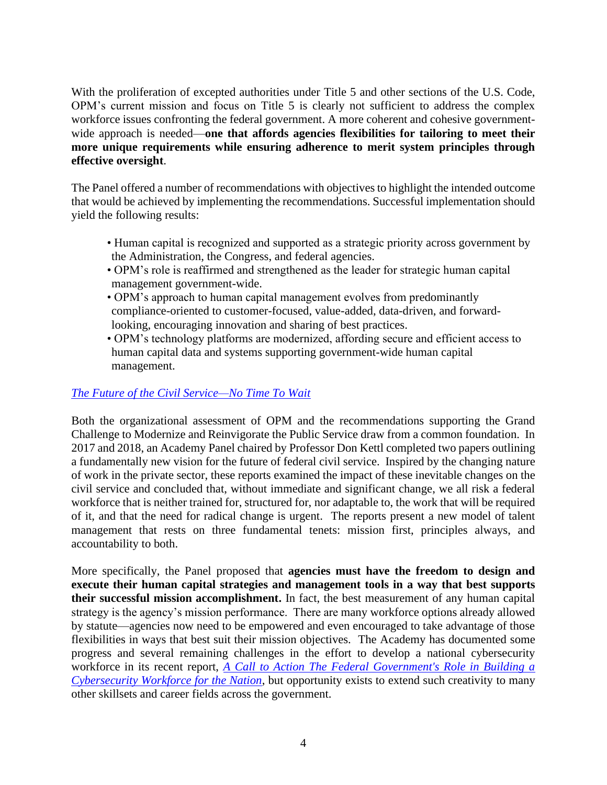With the proliferation of excepted authorities under Title 5 and other sections of the U.S. Code, OPM's current mission and focus on Title 5 is clearly not sufficient to address the complex workforce issues confronting the federal government. A more coherent and cohesive governmentwide approach is needed—**one that affords agencies flexibilities for tailoring to meet their more unique requirements while ensuring adherence to merit system principles through effective oversight**.

The Panel offered a number of recommendations with objectives to highlight the intended outcome that would be achieved by implementing the recommendations. Successful implementation should yield the following results:

- Human capital is recognized and supported as a strategic priority across government by the Administration, the Congress, and federal agencies.
- OPM's role is reaffirmed and strengthened as the leader for strategic human capital management government-wide.
- OPM's approach to human capital management evolves from predominantly compliance-oriented to customer-focused, value-added, data-driven, and forwardlooking, encouraging innovation and sharing of best practices.
- OPM's technology platforms are modernized, affording secure and efficient access to human capital data and systems supporting government-wide human capital management.

# *[The Future of the Civil Service—No Time To Wait](https://napawash.org/academy-studies/no-time-to-wait-part-2-building-a-public-service-for-the-21st-century)*

Both the organizational assessment of OPM and the recommendations supporting the Grand Challenge to Modernize and Reinvigorate the Public Service draw from a common foundation. In 2017 and 2018, an Academy Panel chaired by Professor Don Kettl completed two papers outlining a fundamentally new vision for the future of federal civil service. Inspired by the changing nature of work in the private sector, these reports examined the impact of these inevitable changes on the civil service and concluded that, without immediate and significant change, we all risk a federal workforce that is neither trained for, structured for, nor adaptable to, the work that will be required of it, and that the need for radical change is urgent. The reports present a new model of talent management that rests on three fundamental tenets: mission first, principles always, and accountability to both.

More specifically, the Panel proposed that **agencies must have the freedom to design and execute their human capital strategies and management tools in a way that best supports their successful mission accomplishment.** In fact, the best measurement of any human capital strategy is the agency's mission performance. There are many workforce options already allowed by statute—agencies now need to be empowered and even encouraged to take advantage of those flexibilities in ways that best suit their mission objectives. The Academy has documented some progress and several remaining challenges in the effort to develop a national cybersecurity workforce in its recent report, *[A Call to Action The Federal Government's Role in Building a](https://s3.us-west-2.amazonaws.com/napa-2021/studies/dhs-cybersecurity-workforce/NAPA-Final-CISA-Cybersecurity-Workforce-Report-January-2022.pdf)  [Cybersecurity Workforce for the Nation](https://s3.us-west-2.amazonaws.com/napa-2021/studies/dhs-cybersecurity-workforce/NAPA-Final-CISA-Cybersecurity-Workforce-Report-January-2022.pdf)*, but opportunity exists to extend such creativity to many other skillsets and career fields across the government.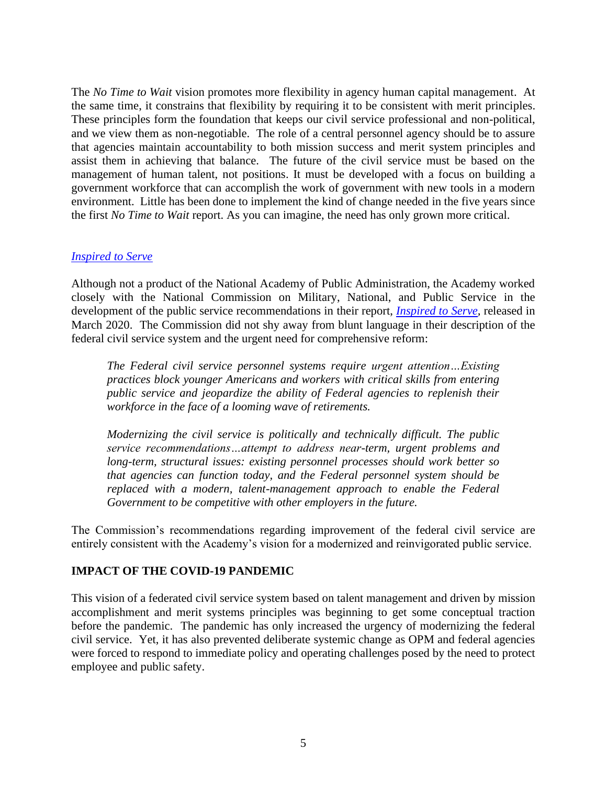The *No Time to Wait* vision promotes more flexibility in agency human capital management. At the same time, it constrains that flexibility by requiring it to be consistent with merit principles. These principles form the foundation that keeps our civil service professional and non-political, and we view them as non-negotiable. The role of a central personnel agency should be to assure that agencies maintain accountability to both mission success and merit system principles and assist them in achieving that balance. The future of the civil service must be based on the management of human talent, not positions. It must be developed with a focus on building a government workforce that can accomplish the work of government with new tools in a modern environment. Little has been done to implement the kind of change needed in the five years since the first *No Time to Wait* report. As you can imagine, the need has only grown more critical.

### *[Inspired to Serve](https://www.volckeralliance.org/sites/default/files/attachments/Final%20Report%20-%20National%20Commission.pdf)*

Although not a product of the National Academy of Public Administration, the Academy worked closely with the National Commission on Military, National, and Public Service in the development of the public service recommendations in their report, *[Inspired to Serve,](https://www.volckeralliance.org/sites/default/files/attachments/Final%20Report%20-%20National%20Commission.pdf)* released in March 2020. The Commission did not shy away from blunt language in their description of the federal civil service system and the urgent need for comprehensive reform:

*The Federal civil service personnel systems require urgent attention…Existing practices block younger Americans and workers with critical skills from entering public service and jeopardize the ability of Federal agencies to replenish their workforce in the face of a looming wave of retirements.*

*Modernizing the civil service is politically and technically difficult. The public service recommendations…attempt to address near-term, urgent problems and long-term, structural issues: existing personnel processes should work better so that agencies can function today, and the Federal personnel system should be replaced with a modern, talent-management approach to enable the Federal Government to be competitive with other employers in the future.*

The Commission's recommendations regarding improvement of the federal civil service are entirely consistent with the Academy's vision for a modernized and reinvigorated public service.

# **IMPACT OF THE COVID-19 PANDEMIC**

This vision of a federated civil service system based on talent management and driven by mission accomplishment and merit systems principles was beginning to get some conceptual traction before the pandemic. The pandemic has only increased the urgency of modernizing the federal civil service. Yet, it has also prevented deliberate systemic change as OPM and federal agencies were forced to respond to immediate policy and operating challenges posed by the need to protect employee and public safety.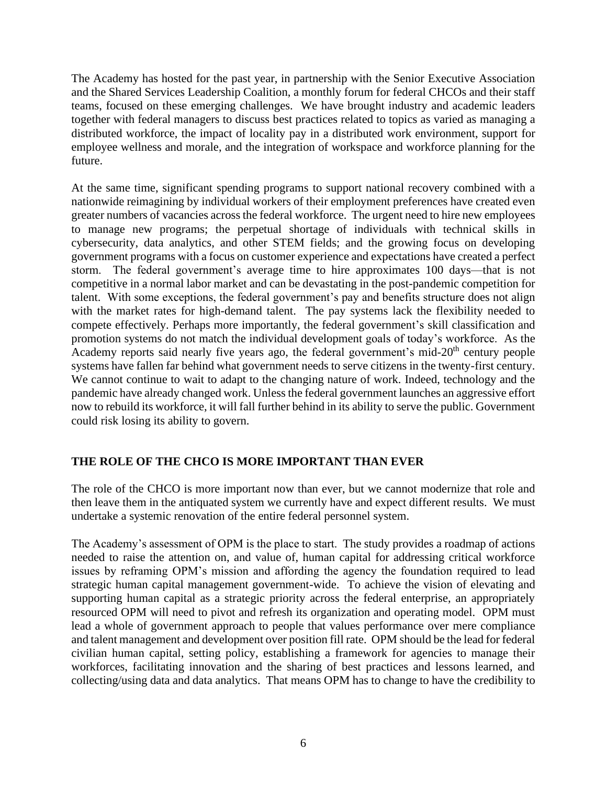The Academy has hosted for the past year, in partnership with the Senior Executive Association and the Shared Services Leadership Coalition, a monthly forum for federal CHCOs and their staff teams, focused on these emerging challenges. We have brought industry and academic leaders together with federal managers to discuss best practices related to topics as varied as managing a distributed workforce, the impact of locality pay in a distributed work environment, support for employee wellness and morale, and the integration of workspace and workforce planning for the future.

At the same time, significant spending programs to support national recovery combined with a nationwide reimagining by individual workers of their employment preferences have created even greater numbers of vacancies across the federal workforce. The urgent need to hire new employees to manage new programs; the perpetual shortage of individuals with technical skills in cybersecurity, data analytics, and other STEM fields; and the growing focus on developing government programs with a focus on customer experience and expectations have created a perfect storm. The federal government's average time to hire approximates 100 days—that is not competitive in a normal labor market and can be devastating in the post-pandemic competition for talent. With some exceptions, the federal government's pay and benefits structure does not align with the market rates for high-demand talent. The pay systems lack the flexibility needed to compete effectively. Perhaps more importantly, the federal government's skill classification and promotion systems do not match the individual development goals of today's workforce. As the Academy reports said nearly five years ago, the federal government's mid- $20<sup>th</sup>$  century people systems have fallen far behind what government needs to serve citizens in the twenty-first century. We cannot continue to wait to adapt to the changing nature of work. Indeed, technology and the pandemic have already changed work. Unless the federal government launches an aggressive effort now to rebuild its workforce, it will fall further behind in its ability to serve the public. Government could risk losing its ability to govern.

# **THE ROLE OF THE CHCO IS MORE IMPORTANT THAN EVER**

The role of the CHCO is more important now than ever, but we cannot modernize that role and then leave them in the antiquated system we currently have and expect different results. We must undertake a systemic renovation of the entire federal personnel system.

The Academy's assessment of OPM is the place to start. The study provides a roadmap of actions needed to raise the attention on, and value of, human capital for addressing critical workforce issues by reframing OPM's mission and affording the agency the foundation required to lead strategic human capital management government-wide. To achieve the vision of elevating and supporting human capital as a strategic priority across the federal enterprise, an appropriately resourced OPM will need to pivot and refresh its organization and operating model. OPM must lead a whole of government approach to people that values performance over mere compliance and talent management and development over position fill rate. OPM should be the lead for federal civilian human capital, setting policy, establishing a framework for agencies to manage their workforces, facilitating innovation and the sharing of best practices and lessons learned, and collecting/using data and data analytics. That means OPM has to change to have the credibility to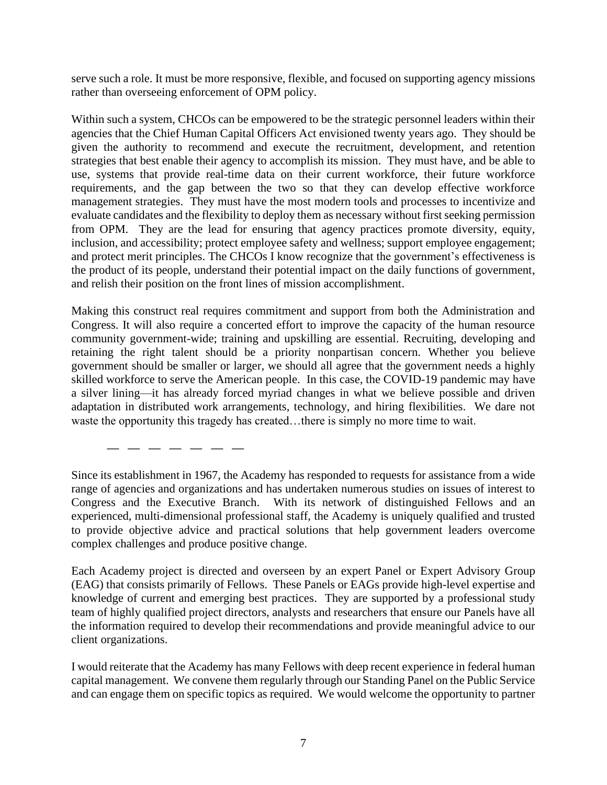serve such a role. It must be more responsive, flexible, and focused on supporting agency missions rather than overseeing enforcement of OPM policy.

Within such a system, CHCOs can be empowered to be the strategic personnel leaders within their agencies that the Chief Human Capital Officers Act envisioned twenty years ago. They should be given the authority to recommend and execute the recruitment, development, and retention strategies that best enable their agency to accomplish its mission. They must have, and be able to use, systems that provide real-time data on their current workforce, their future workforce requirements, and the gap between the two so that they can develop effective workforce management strategies. They must have the most modern tools and processes to incentivize and evaluate candidates and the flexibility to deploy them as necessary without first seeking permission from OPM. They are the lead for ensuring that agency practices promote diversity, equity, inclusion, and accessibility; protect employee safety and wellness; support employee engagement; and protect merit principles. The CHCOs I know recognize that the government's effectiveness is the product of its people, understand their potential impact on the daily functions of government, and relish their position on the front lines of mission accomplishment.

Making this construct real requires commitment and support from both the Administration and Congress. It will also require a concerted effort to improve the capacity of the human resource community government-wide; training and upskilling are essential. Recruiting, developing and retaining the right talent should be a priority nonpartisan concern. Whether you believe government should be smaller or larger, we should all agree that the government needs a highly skilled workforce to serve the American people. In this case, the COVID-19 pandemic may have a silver lining—it has already forced myriad changes in what we believe possible and driven adaptation in distributed work arrangements, technology, and hiring flexibilities. We dare not waste the opportunity this tragedy has created...there is simply no more time to wait.

Since its establishment in 1967, the Academy has responded to requests for assistance from a wide range of agencies and organizations and has undertaken numerous studies on issues of interest to Congress and the Executive Branch. With its network of distinguished Fellows and an experienced, multi-dimensional professional staff, the Academy is uniquely qualified and trusted to provide objective advice and practical solutions that help government leaders overcome complex challenges and produce positive change.

**— — — — — — —**

Each Academy project is directed and overseen by an expert Panel or Expert Advisory Group (EAG) that consists primarily of Fellows. These Panels or EAGs provide high-level expertise and knowledge of current and emerging best practices. They are supported by a professional study team of highly qualified project directors, analysts and researchers that ensure our Panels have all the information required to develop their recommendations and provide meaningful advice to our client organizations.

I would reiterate that the Academy has many Fellows with deep recent experience in federal human capital management. We convene them regularly through our Standing Panel on the Public Service and can engage them on specific topics as required. We would welcome the opportunity to partner